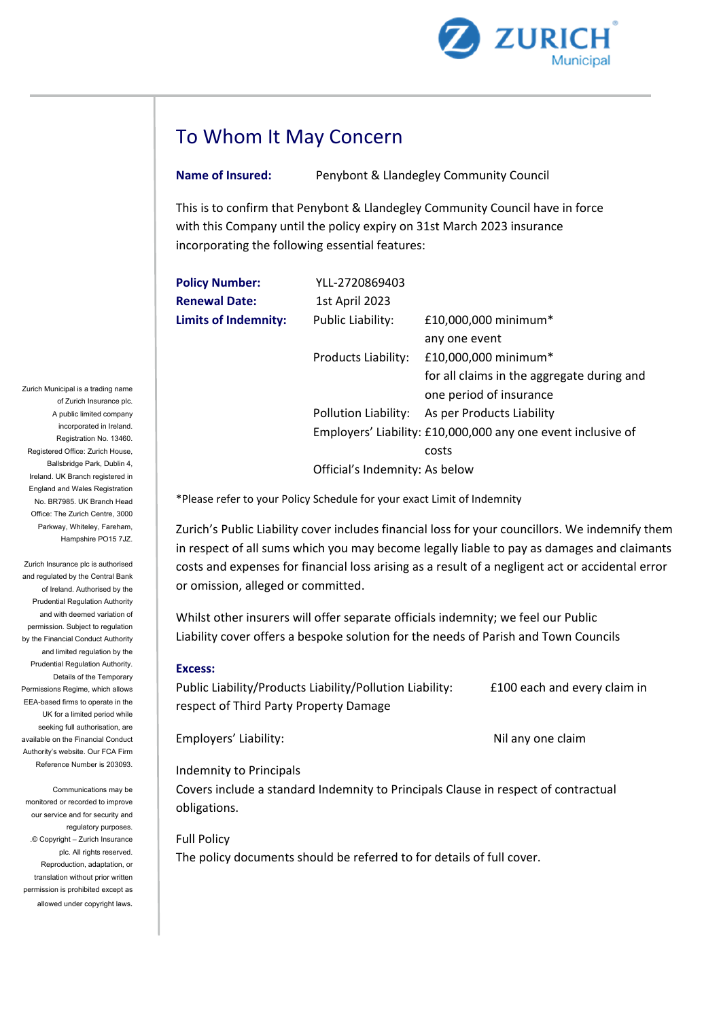

# To Whom It May Concern

**Name of Insured:** Penybont & Llandegley Community Council

This is to confirm that Penybont & Llandegley Community Council have in force with this Company until the policy expiry on 31st March 2023 insurance incorporating the following essential features:

| <b>Policy Number:</b>       | YLL-2720869403                 |                                                              |
|-----------------------------|--------------------------------|--------------------------------------------------------------|
| <b>Renewal Date:</b>        | 1st April 2023                 |                                                              |
| <b>Limits of Indemnity:</b> | Public Liability:              | £10,000,000 minimum*                                         |
|                             |                                | any one event                                                |
|                             | Products Liability:            | £10,000,000 minimum*                                         |
|                             |                                | for all claims in the aggregate during and                   |
|                             |                                | one period of insurance                                      |
|                             |                                | Pollution Liability: As per Products Liability               |
|                             |                                | Employers' Liability: £10,000,000 any one event inclusive of |
|                             |                                | costs                                                        |
|                             | Official's Indemnity: As below |                                                              |
|                             |                                |                                                              |

\*Please refer to your Policy Schedule for your exact Limit of Indemnity

Zurich's Public Liability cover includes financial loss for your councillors. We indemnify them in respect of all sums which you may become legally liable to pay as damages and claimants costs and expenses for financial loss arising as a result of a negligent act or accidental error or omission, alleged or committed.

Whilst other insurers will offer separate officials indemnity; we feel our Public Liability cover offers a bespoke solution for the needs of Parish and Town Councils

#### **Excess:**

Public Liability/Products Liability/Pollution Liability: E100 each and every claim in respect of Third Party Property Damage

Employers' Liability: Nil any one claim

## Indemnity to Principals

Covers include a standard Indemnity to Principals Clause in respect of contractual obligations.

Full Policy

The policy documents should be referred to for details of full cover.

Zurich Municipal is a trading name of Zurich Insurance plc. A public limited company incorporated in Ireland. Registration No. 13460. Registered Office: Zurich House, Ballsbridge Park, Dublin 4, Ireland. UK Branch registered in England and Wales Registration No. BR7985. UK Branch Head Office: The Zurich Centre, 3000 Parkway, Whiteley, Fareham, Hampshire PO15 7JZ.

Zurich Insurance plc is authorised and regulated by the Central Bank of Ireland. Authorised by the Prudential Regulation Authority and with deemed variation of permission. Subject to regulation by the Financial Conduct Authority and limited regulation by the Prudential Regulation Authority. Details of the Temporary Permissions Regime, which allows EEA-based firms to operate in the UK for a limited period while seeking full authorisation, are available on the Financial Conduct Authority's website. Our FCA Firm Reference Number is 203093.

Communications may be monitored or recorded to improve our service and for security and regulatory purposes. .© Copyright – Zurich Insurance plc. All rights reserved. Reproduction, adaptation, or translation without prior written permission is prohibited except as allowed under copyright laws.